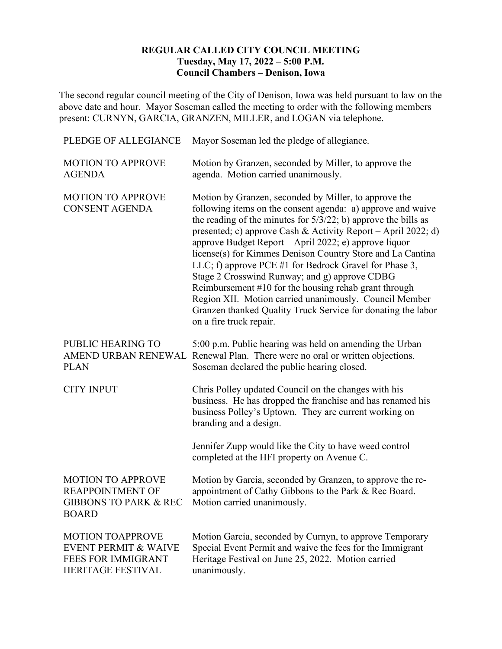## **REGULAR CALLED CITY COUNCIL MEETING Tuesday, May 17, 2022 – 5:00 P.M. Council Chambers – Denison, Iowa**

The second regular council meeting of the City of Denison, Iowa was held pursuant to law on the above date and hour. Mayor Soseman called the meeting to order with the following members present: CURNYN, GARCIA, GRANZEN, MILLER, and LOGAN via telephone.

| PLEDGE OF ALLEGIANCE                                                                                                     | Mayor Soseman led the pledge of allegiance.                                                                                                                                                                                                                                                                                                                                                                                                                                                                                                                                                                                                                                                                |
|--------------------------------------------------------------------------------------------------------------------------|------------------------------------------------------------------------------------------------------------------------------------------------------------------------------------------------------------------------------------------------------------------------------------------------------------------------------------------------------------------------------------------------------------------------------------------------------------------------------------------------------------------------------------------------------------------------------------------------------------------------------------------------------------------------------------------------------------|
| <b>MOTION TO APPROVE</b><br><b>AGENDA</b>                                                                                | Motion by Granzen, seconded by Miller, to approve the<br>agenda. Motion carried unanimously.                                                                                                                                                                                                                                                                                                                                                                                                                                                                                                                                                                                                               |
| <b>MOTION TO APPROVE</b><br><b>CONSENT AGENDA</b>                                                                        | Motion by Granzen, seconded by Miller, to approve the<br>following items on the consent agenda: a) approve and waive<br>the reading of the minutes for $5/3/22$ ; b) approve the bills as<br>presented; c) approve Cash & Activity Report - April 2022; d)<br>approve Budget Report - April 2022; e) approve liquor<br>license(s) for Kimmes Denison Country Store and La Cantina<br>LLC; f) approve PCE #1 for Bedrock Gravel for Phase 3,<br>Stage 2 Crosswind Runway; and g) approve CDBG<br>Reimbursement #10 for the housing rehab grant through<br>Region XII. Motion carried unanimously. Council Member<br>Granzen thanked Quality Truck Service for donating the labor<br>on a fire truck repair. |
| PUBLIC HEARING TO<br><b>PLAN</b>                                                                                         | 5:00 p.m. Public hearing was held on amending the Urban<br>AMEND URBAN RENEWAL Renewal Plan. There were no oral or written objections.<br>Soseman declared the public hearing closed.                                                                                                                                                                                                                                                                                                                                                                                                                                                                                                                      |
| <b>CITY INPUT</b>                                                                                                        | Chris Polley updated Council on the changes with his<br>business. He has dropped the franchise and has renamed his<br>business Polley's Uptown. They are current working on<br>branding and a design.                                                                                                                                                                                                                                                                                                                                                                                                                                                                                                      |
|                                                                                                                          | Jennifer Zupp would like the City to have weed control<br>completed at the HFI property on Avenue C.                                                                                                                                                                                                                                                                                                                                                                                                                                                                                                                                                                                                       |
| <b>MOTION TO APPROVE</b><br><b>REAPPOINTMENT OF</b><br>GIBBONS TO PARK & REC Motion carried unanimously.<br><b>BOARD</b> | Motion by Garcia, seconded by Granzen, to approve the re-<br>appointment of Cathy Gibbons to the Park & Rec Board.                                                                                                                                                                                                                                                                                                                                                                                                                                                                                                                                                                                         |
| <b>MOTION TOAPPROVE</b><br><b>EVENT PERMIT &amp; WAIVE</b><br><b>FEES FOR IMMIGRANT</b><br>HERITAGE FESTIVAL             | Motion Garcia, seconded by Curnyn, to approve Temporary<br>Special Event Permit and waive the fees for the Immigrant<br>Heritage Festival on June 25, 2022. Motion carried<br>unanimously.                                                                                                                                                                                                                                                                                                                                                                                                                                                                                                                 |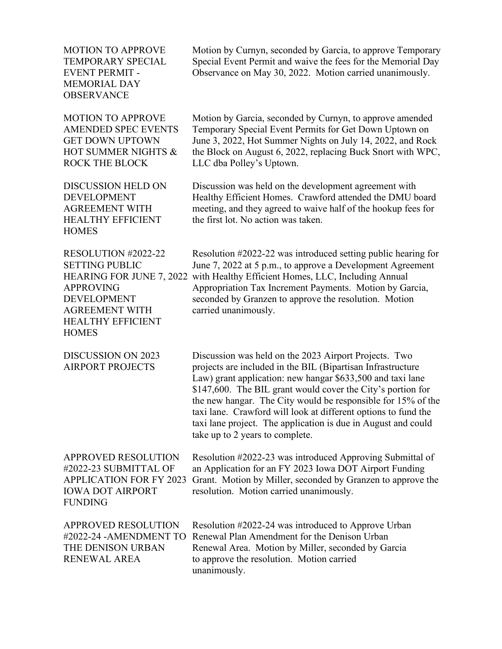MOTION TO APPROVE TEMPORARY SPECIAL EVENT PERMIT - MEMORIAL DAY **OBSERVANCE** 

Motion by Curnyn, seconded by Garcia, to approve Temporary Special Event Permit and waive the fees for the Memorial Day Observance on May 30, 2022. Motion carried unanimously.

MOTION TO APPROVE AMENDED SPEC EVENTS GET DOWN UPTOWN HOT SUMMER NIGHTS & ROCK THE BLOCK

DISCUSSION HELD ON DEVELOPMENT AGREEMENT WITH HEALTHY EFFICIENT **HOMES** 

RESOLUTION #2022-22 SETTING PUBLIC APPROVING DEVELOPMENT AGREEMENT WITH HEALTHY EFFICIENT **HOMES** 

DISCUSSION ON 2023 AIRPORT PROJECTS

Motion by Garcia, seconded by Curnyn, to approve amended Temporary Special Event Permits for Get Down Uptown on June 3, 2022, Hot Summer Nights on July 14, 2022, and Rock the Block on August 6, 2022, replacing Buck Snort with WPC, LLC dba Polley's Uptown.

Discussion was held on the development agreement with Healthy Efficient Homes. Crawford attended the DMU board meeting, and they agreed to waive half of the hookup fees for the first lot. No action was taken.

HEARING FOR JUNE 7, 2022 with Healthy Efficient Homes, LLC, Including Annual Resolution #2022-22 was introduced setting public hearing for June 7, 2022 at 5 p.m., to approve a Development Agreement Appropriation Tax Increment Payments. Motion by Garcia, seconded by Granzen to approve the resolution. Motion carried unanimously.

> Discussion was held on the 2023 Airport Projects. Two projects are included in the BIL (Bipartisan Infrastructure Law) grant application: new hangar \$633,500 and taxi lane \$147,600. The BIL grant would cover the City's portion for the new hangar. The City would be responsible for 15% of the taxi lane. Crawford will look at different options to fund the taxi lane project. The application is due in August and could take up to 2 years to complete.

APPROVED RESOLUTION #2022-23 SUBMITTAL OF APPLICATION FOR FY 2023 IOWA DOT AIRPORT FUNDING

Resolution #2022-23 was introduced Approving Submittal of an Application for an FY 2023 Iowa DOT Airport Funding Grant. Motion by Miller, seconded by Granzen to approve the resolution. Motion carried unanimously.

APPROVED RESOLUTION #2022-24 -AMENDMENT TO THE DENISON URBAN RENEWAL AREA Resolution #2022-24 was introduced to Approve Urban Renewal Plan Amendment for the Denison Urban Renewal Area. Motion by Miller, seconded by Garcia to approve the resolution. Motion carried unanimously.